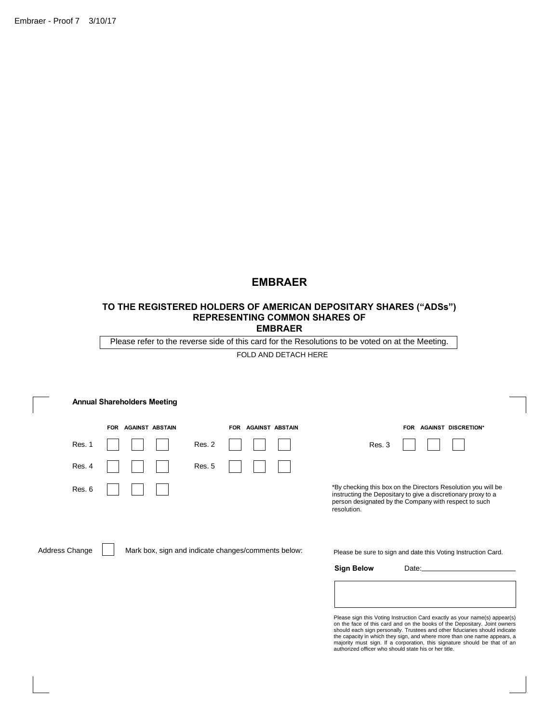Embraer - Proof 7 3/10/17

# **EMBRAER**

#### **TO THE REGISTERED HOLDERS OF AMERICAN DEPOSITARY SHARES ("ADSs") REPRESENTING COMMON SHARES OF EMBRAER**

Please refer to the reverse side of this card for the Resolutions to be voted on at the Meeting.

FOLD AND DETACH HERE

|                | <b>Annual Shareholders Meeting</b>                  |                                      |                                                                                                                                                                                                        |
|----------------|-----------------------------------------------------|--------------------------------------|--------------------------------------------------------------------------------------------------------------------------------------------------------------------------------------------------------|
|                | <b>AGAINST ABSTAIN</b><br><b>FOR</b>                | <b>AGAINST ABSTAIN</b><br><b>FOR</b> | <b>AGAINST DISCRETION*</b><br><b>FOR</b>                                                                                                                                                               |
| Res. 1         |                                                     | Res. 2                               | Res. 3                                                                                                                                                                                                 |
| Res. 4         |                                                     | Res. 5                               |                                                                                                                                                                                                        |
| Res. 6         |                                                     |                                      | *By checking this box on the Directors Resolution you will be<br>instructing the Depositary to give a discretionary proxy to a<br>person designated by the Company with respect to such<br>resolution. |
| Address Change | Mark box, sign and indicate changes/comments below: |                                      | Please be sure to sign and date this Voting Instruction Card.                                                                                                                                          |
|                |                                                     |                                      | <b>Sign Below</b><br>Date:                                                                                                                                                                             |

Please sign this Voting Instruction Card exactly as your name(s) appear(s) on the face of this card and on the books of the Depositary. Joint owners should each sign personally. Trustees and other fiduciaries should indica majority must sign. If a corporation, this signature should be that of an authorized officer who should state his or her title.